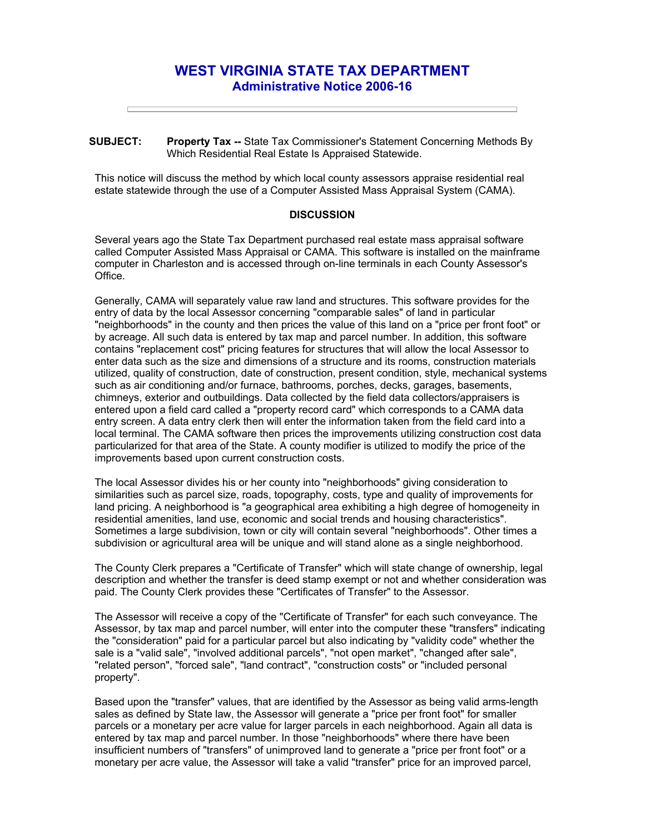## **WEST VIRGINIA STATE TAX DEPARTMENT Administrative Notice 2006-16**

**SUBJECT: Property Tax --** State Tax Commissioner's Statement Concerning Methods By Which Residential Real Estate Is Appraised Statewide.

This notice will discuss the method by which local county assessors appraise residential real estate statewide through the use of a Computer Assisted Mass Appraisal System (CAMA).

## **DISCUSSION**

Several years ago the State Tax Department purchased real estate mass appraisal software called Computer Assisted Mass Appraisal or CAMA. This software is installed on the mainframe computer in Charleston and is accessed through on-line terminals in each County Assessor's Office.

Generally, CAMA will separately value raw land and structures. This software provides for the entry of data by the local Assessor concerning "comparable sales" of land in particular "neighborhoods" in the county and then prices the value of this land on a "price per front foot" or by acreage. All such data is entered by tax map and parcel number. In addition, this software contains "replacement cost" pricing features for structures that will allow the local Assessor to enter data such as the size and dimensions of a structure and its rooms, construction materials utilized, quality of construction, date of construction, present condition, style, mechanical systems such as air conditioning and/or furnace, bathrooms, porches, decks, garages, basements, chimneys, exterior and outbuildings. Data collected by the field data collectors/appraisers is entered upon a field card called a "property record card" which corresponds to a CAMA data entry screen. A data entry clerk then will enter the information taken from the field card into a local terminal. The CAMA software then prices the improvements utilizing construction cost data particularized for that area of the State. A county modifier is utilized to modify the price of the improvements based upon current construction costs.

The local Assessor divides his or her county into "neighborhoods" giving consideration to similarities such as parcel size, roads, topography, costs, type and quality of improvements for land pricing. A neighborhood is "a geographical area exhibiting a high degree of homogeneity in residential amenities, land use, economic and social trends and housing characteristics". Sometimes a large subdivision, town or city will contain several "neighborhoods". Other times a subdivision or agricultural area will be unique and will stand alone as a single neighborhood.

The County Clerk prepares a "Certificate of Transfer" which will state change of ownership, legal description and whether the transfer is deed stamp exempt or not and whether consideration was paid. The County Clerk provides these "Certificates of Transfer" to the Assessor.

The Assessor will receive a copy of the "Certificate of Transfer" for each such conveyance. The Assessor, by tax map and parcel number, will enter into the computer these "transfers" indicating the "consideration" paid for a particular parcel but also indicating by "validity code" whether the sale is a "valid sale", "involved additional parcels", "not open market", "changed after sale", "related person", "forced sale", "land contract", "construction costs" or "included personal property".

Based upon the "transfer" values, that are identified by the Assessor as being valid arms-length sales as defined by State law, the Assessor will generate a "price per front foot" for smaller parcels or a monetary per acre value for larger parcels in each neighborhood. Again all data is entered by tax map and parcel number. In those "neighborhoods" where there have been insufficient numbers of "transfers" of unimproved land to generate a "price per front foot" or a monetary per acre value, the Assessor will take a valid "transfer" price for an improved parcel,